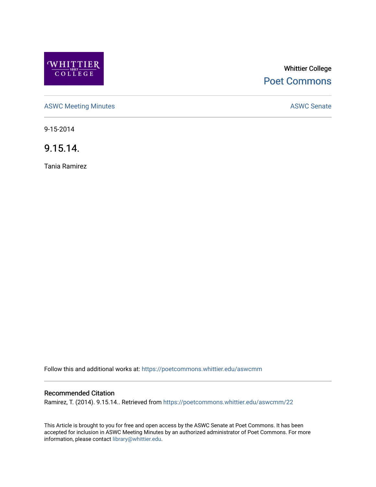

# Whittier College [Poet Commons](https://poetcommons.whittier.edu/)

[ASWC Meeting Minutes](https://poetcommons.whittier.edu/aswcmm) **ASWC Senate** 

9-15-2014

9.15.14.

Tania Ramirez

Follow this and additional works at: [https://poetcommons.whittier.edu/aswcmm](https://poetcommons.whittier.edu/aswcmm?utm_source=poetcommons.whittier.edu%2Faswcmm%2F22&utm_medium=PDF&utm_campaign=PDFCoverPages)

## Recommended Citation

Ramirez, T. (2014). 9.15.14.. Retrieved from [https://poetcommons.whittier.edu/aswcmm/22](https://poetcommons.whittier.edu/aswcmm/22?utm_source=poetcommons.whittier.edu%2Faswcmm%2F22&utm_medium=PDF&utm_campaign=PDFCoverPages) 

This Article is brought to you for free and open access by the ASWC Senate at Poet Commons. It has been accepted for inclusion in ASWC Meeting Minutes by an authorized administrator of Poet Commons. For more information, please contact [library@whittier.edu.](mailto:library@whittier.edu)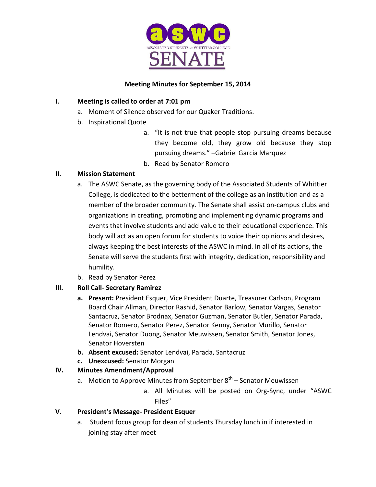

# **Meeting Minutes for September 15, 2014**

# **I. Meeting is called to order at 7:01 pm**

- a. Moment of Silence observed for our Quaker Traditions.
- b. Inspirational Quote
	- a. "It is not true that people stop pursuing dreams because they become old, they grow old because they stop pursuing dreams." –Gabriel Garcia Marquez
	- b. Read by Senator Romero

# **II. Mission Statement**

- a. The ASWC Senate, as the governing body of the Associated Students of Whittier College, is dedicated to the betterment of the college as an institution and as a member of the broader community. The Senate shall assist on-campus clubs and organizations in creating, promoting and implementing dynamic programs and events that involve students and add value to their educational experience. This body will act as an open forum for students to voice their opinions and desires, always keeping the best interests of the ASWC in mind. In all of its actions, the Senate will serve the students first with integrity, dedication, responsibility and humility.
- b. Read by Senator Perez

# **III. Roll Call- Secretary Ramirez**

- **a. Present:** President Esquer, Vice President Duarte, Treasurer Carlson, Program Board Chair Allman, Director Rashid, Senator Barlow, Senator Vargas, Senator Santacruz, Senator Brodnax, Senator Guzman, Senator Butler, Senator Parada, Senator Romero, Senator Perez, Senator Kenny, Senator Murillo, Senator Lendvai, Senator Duong, Senator Meuwissen, Senator Smith, Senator Jones, Senator Hoversten
- **b. Absent excused:** Senator Lendvai, Parada, Santacruz
- **c. Unexcused:** Senator Morgan

# **IV. Minutes Amendment/Approval**

- a. Motion to Approve Minutes from September 8<sup>th</sup> Senator Meuwissen
	- a. All Minutes will be posted on Org-Sync, under "ASWC Files"

# **V. President's Message- President Esquer**

a. Student focus group for dean of students Thursday lunch in if interested in joining stay after meet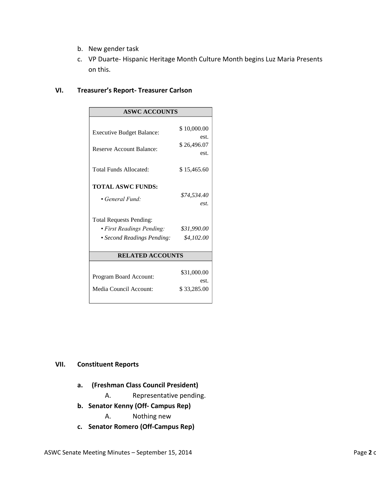- b. New gender task
- c. VP Duarte- Hispanic Heritage Month Culture Month begins Luz Maria Presents on this.

#### **VI. Treasurer's Report- Treasurer Carlson**

| <b>ASWC ACCOUNTS</b>             |             |
|----------------------------------|-------------|
|                                  |             |
| <b>Executive Budget Balance:</b> | \$10,000.00 |
|                                  | est.        |
| <b>Reserve Account Balance:</b>  | \$26,496.07 |
|                                  | est.        |
| Total Funds Allocated:           | \$15,465.60 |
| <b>TOTAL ASWC FUNDS:</b>         |             |
|                                  | \$74,534.40 |
| • General Fund:                  | est         |
|                                  |             |
| <b>Total Requests Pending:</b>   |             |
| · First Readings Pending:        | \$31,990.00 |
| • Second Readings Pending:       | \$4,102.00  |
|                                  |             |
| <b>RELATED ACCOUNTS</b>          |             |
|                                  |             |
| Program Board Account:           | \$31,000.00 |
|                                  | est.        |
| Media Council Account:           | \$33,285.00 |
|                                  |             |

# **VII. Constituent Reports**

- **a. (Freshman Class Council President)**
	- A. Representative pending.
- **b. Senator Kenny (Off- Campus Rep)**
	- A. Nothing new
- **c. Senator Romero (Off-Campus Rep)**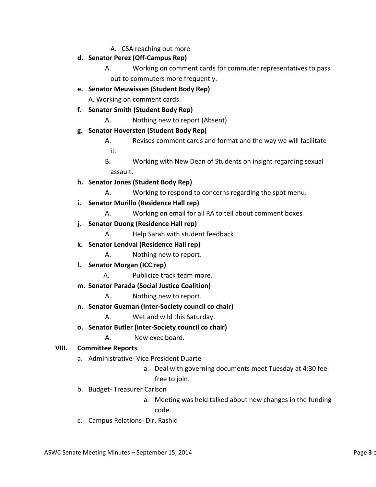A. CSA reaching out more

## **d. Senator Perez (Off-Campus Rep)**

- A. Working on comment cards for commuter representatives to pass out to commuters more frequently.
- **e. Senator Meuwissen (Student Body Rep)**

A. Working on comment cards.

- **f. Senator Smith (Student Body Rep)**
	- A. Nothing new to report (Absent)
- **g. Senator Hoversten (Student Body Rep)**
	- A. Revises comment cards and format and the way we will facilitate it.
	- B. Working with New Dean of Students on insight regarding sexual assault.

# **h. Senator Jones (Student Body Rep)**

- A. Working to respond to concerns regarding the spot menu.
- **i. Senator Murillo (Residence Hall rep)**
	- A. Working on email for all RA to tell about comment boxes
- **j. Senator Duong (Residence Hall rep)**
	- A. Help Sarah with student feedback
- **k. Senator Lendvai (Residence Hall rep)**
	- A. Nothing new to report.
- **l. Senator Morgan (ICC rep)**
	- A. Publicize track team more.
- **m. Senator Parada (Social Justice Coalition)**
	- A. Nothing new to report.
- **n. Senator Guzman (Inter-Society council co chair)**
	- A. Wet and wild this Saturday.
- **o. Senator Butler (Inter-Society council co chair)**
	- A. New exec board.

## **VIII. Committee Reports**

- a. Administrative- Vice President Duarte
	- a. Deal with governing documents meet Tuesday at 4:30 feel free to join.
- b. Budget- Treasurer Carlson
	- a. Meeting was held talked about new changes in the funding code.
- c. Campus Relations- Dir. Rashid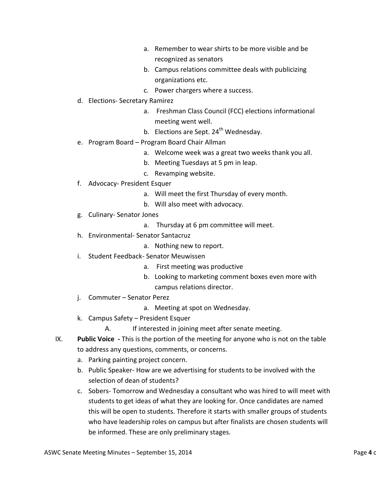- a. Remember to wear shirts to be more visible and be recognized as senators
- b. Campus relations committee deals with publicizing organizations etc.
- c. Power chargers where a success.
- d. Elections- Secretary Ramirez
	- a. Freshman Class Council (FCC) elections informational meeting went well.
	- b. Elections are Sept. 24<sup>th</sup> Wednesday.
- e. Program Board Program Board Chair Allman
	- a. Welcome week was a great two weeks thank you all.
	- b. Meeting Tuesdays at 5 pm in leap.
	- c. Revamping website.
- f. Advocacy- President Esquer
	- a. Will meet the first Thursday of every month.
	- b. Will also meet with advocacy.
- g. Culinary- Senator Jones
	- a. Thursday at 6 pm committee will meet.
- h. Environmental- Senator Santacruz
	- a. Nothing new to report.
- i. Student Feedback- Senator Meuwissen
	- a. First meeting was productive
	- b. Looking to marketing comment boxes even more with campus relations director.
- j. Commuter Senator Perez
	- a. Meeting at spot on Wednesday.
- k. Campus Safety President Esquer
	- A. If interested in joining meet after senate meeting.
- IX. **Public Voice -** This is the portion of the meeting for anyone who is not on the table to address any questions, comments, or concerns.
	- a. Parking painting project concern.
	- b. Public Speaker- How are we advertising for students to be involved with the selection of dean of students?
	- c. Sobers- Tomorrow and Wednesday a consultant who was hired to will meet with students to get ideas of what they are looking for. Once candidates are named this will be open to students. Therefore it starts with smaller groups of students who have leadership roles on campus but after finalists are chosen students will be informed. These are only preliminary stages.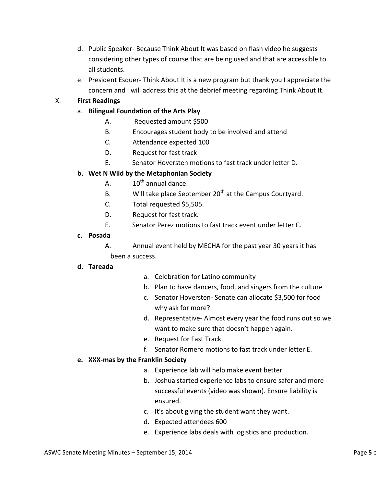- d. Public Speaker- Because Think About It was based on flash video he suggests considering other types of course that are being used and that are accessible to all students.
- e. President Esquer- Think About It is a new program but thank you I appreciate the concern and I will address this at the debrief meeting regarding Think About It.

# X. **First Readings**

- a. **Bilingual Foundation of the Arts Play** 
	- A. Requested amount \$500
	- B. Encourages student body to be involved and attend
	- C. Attendance expected 100
	- D. Request for fast track
	- E. Senator Hoversten motions to fast track under letter D.

# **b. Wet N Wild by the Metaphonian Society**

- A.  $10^{th}$  annual dance.
- B. Will take place September  $20<sup>th</sup>$  at the Campus Courtyard.
- C. Total requested \$5,505.
- D. Request for fast track.
- E. Senator Perez motions to fast track event under letter C.
- **c. Posada**

A. Annual event held by MECHA for the past year 30 years it has been a success.

## **d. Tareada**

- a. Celebration for Latino community
- b. Plan to have dancers, food, and singers from the culture
- c. Senator Hoversten- Senate can allocate \$3,500 for food why ask for more?
- d. Representative- Almost every year the food runs out so we want to make sure that doesn't happen again.
- e. Request for Fast Track.
- f. Senator Romero motions to fast track under letter E.

## **e. XXX-mas by the Franklin Society**

- a. Experience lab will help make event better
- b. Joshua started experience labs to ensure safer and more successful events (video was shown). Ensure liability is ensured.
- c. It's about giving the student want they want.
- d. Expected attendees 600
- e. Experience labs deals with logistics and production.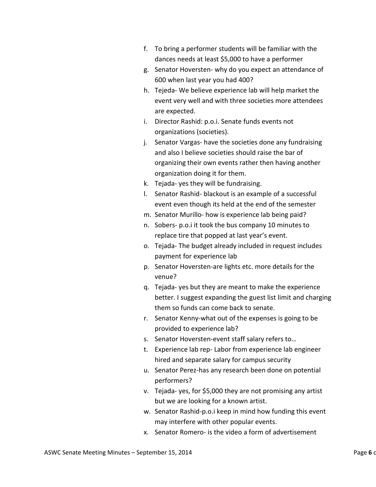- f. To bring a performer students will be familiar with the dances needs at least \$5,000 to have a performer
- g. Senator Hoversten- why do you expect an attendance of 600 when last year you had 400?
- h. Tejeda- We believe experience lab will help market the event very well and with three societies more attendees are expected.
- i. Director Rashid: p.o.i. Senate funds events not organizations (societies).
- j. Senator Vargas- have the societies done any fundraising and also I believe societies should raise the bar of organizing their own events rather then having another organization doing it for them.
- k. Tejada- yes they will be fundraising.
- l. Senator Rashid- blackout is an example of a successful event even though its held at the end of the semester
- m. Senator Murillo- how is experience lab being paid?
- n. Sobers- p.o.i it took the bus company 10 minutes to replace tire that popped at last year's event.
- o. Tejada- The budget already included in request includes payment for experience lab
- p. Senator Hoversten-are lights etc. more details for the venue?
- q. Tejada- yes but they are meant to make the experience better. I suggest expanding the guest list limit and charging them so funds can come back to senate.
- r. Senator Kenny-what out of the expenses is going to be provided to experience lab?
- s. Senator Hoversten-event staff salary refers to…
- t. Experience lab rep- Labor from experience lab engineer hired and separate salary for campus security
- u. Senator Perez-has any research been done on potential performers?
- v. Tejada- yes, for \$5,000 they are not promising any artist but we are looking for a known artist.
- w. Senator Rashid-p.o.i keep in mind how funding this event may interfere with other popular events.
- x. Senator Romero- is the video a form of advertisement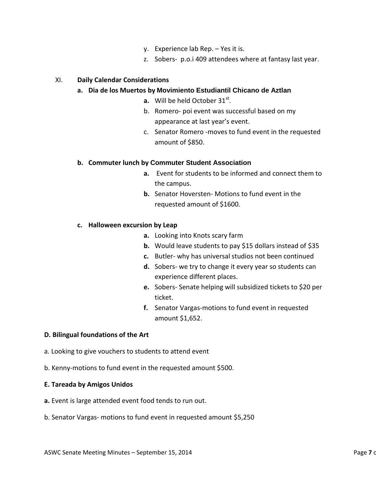- y. Experience lab Rep. Yes it is.
- z. Sobers- p.o.i 409 attendees where at fantasy last year.

#### XI. **Daily Calendar Considerations**

#### **a. Dia de los Muertos by Movimiento Estudiantil Chicano de Aztlan**

- **a.** Will be held October  $31^{st}$ .
- b. Romero- poi event was successful based on my appearance at last year's event.
- c. Senator Romero -moves to fund event in the requested amount of \$850.

## **b. Commuter lunch by Commuter Student Association**

- **a.** Event for students to be informed and connect them to the campus.
- **b.** Senator Hoversten- Motions to fund event in the requested amount of \$1600.

## **c. Halloween excursion by Leap**

- **a.** Looking into Knots scary farm
- **b.** Would leave students to pay \$15 dollars instead of \$35
- **c.** Butler- why has universal studios not been continued
- **d.** Sobers- we try to change it every year so students can experience different places.
- **e.** Sobers- Senate helping will subsidized tickets to \$20 per ticket.
- **f.** Senator Vargas-motions to fund event in requested amount \$1,652.

#### **D. Bilingual foundations of the Art**

- a. Looking to give vouchers to students to attend event
- b. Kenny-motions to fund event in the requested amount \$500.

#### **E. Tareada by Amigos Unidos**

- **a.** Event is large attended event food tends to run out.
- b. Senator Vargas- motions to fund event in requested amount \$5,250